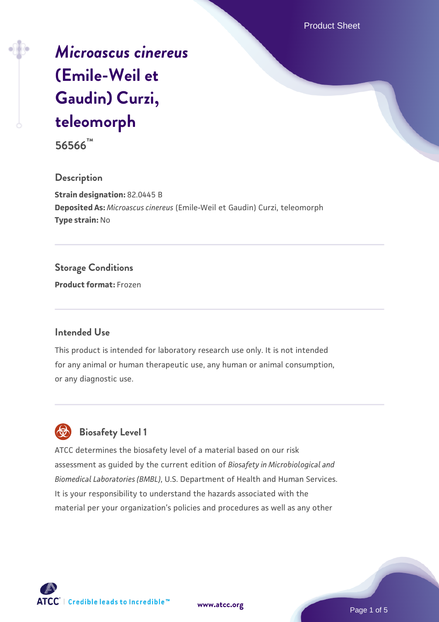Product Sheet

# *[Microascus cinereus](https://www.atcc.org/products/56566)* **[\(Emile-Weil et](https://www.atcc.org/products/56566) [Gaudin\) Curzi,](https://www.atcc.org/products/56566) [teleomorph](https://www.atcc.org/products/56566)**

**56566™**

#### **Description**

**Strain designation:** 82.0445 B **Deposited As:** *Microascus cinereus* (Emile-Weil et Gaudin) Curzi, teleomorph **Type strain:** No

### **Storage Conditions**

**Product format:** Frozen

#### **Intended Use**

This product is intended for laboratory research use only. It is not intended for any animal or human therapeutic use, any human or animal consumption, or any diagnostic use.

## **Biosafety Level 1**

ATCC determines the biosafety level of a material based on our risk assessment as guided by the current edition of *Biosafety in Microbiological and Biomedical Laboratories (BMBL)*, U.S. Department of Health and Human Services. It is your responsibility to understand the hazards associated with the material per your organization's policies and procedures as well as any other



**[www.atcc.org](http://www.atcc.org)**

Page 1 of 5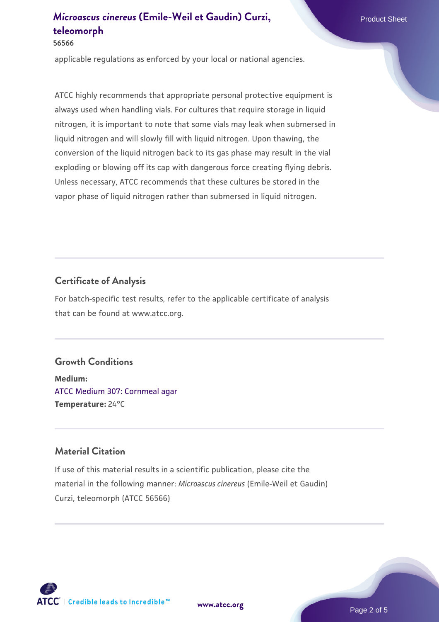### *[Microascus cinereus](https://www.atcc.org/products/56566)* **[\(Emile-Weil et Gaudin\) Curzi,](https://www.atcc.org/products/56566) Product Sheet [teleomorph](https://www.atcc.org/products/56566)**

#### **56566**

applicable regulations as enforced by your local or national agencies.

ATCC highly recommends that appropriate personal protective equipment is always used when handling vials. For cultures that require storage in liquid nitrogen, it is important to note that some vials may leak when submersed in liquid nitrogen and will slowly fill with liquid nitrogen. Upon thawing, the conversion of the liquid nitrogen back to its gas phase may result in the vial exploding or blowing off its cap with dangerous force creating flying debris. Unless necessary, ATCC recommends that these cultures be stored in the vapor phase of liquid nitrogen rather than submersed in liquid nitrogen.

### **Certificate of Analysis**

For batch-specific test results, refer to the applicable certificate of analysis that can be found at www.atcc.org.

### **Growth Conditions**

**Medium:**  [ATCC Medium 307: Cornmeal agar](https://www.atcc.org/-/media/product-assets/documents/microbial-media-formulations/3/0/7/atcc-medium-307.pdf?rev=5cd8aaa5fcde44f5873396cc2a06f590) **Temperature:** 24°C

### **Material Citation**

If use of this material results in a scientific publication, please cite the material in the following manner: *Microascus cinereus* (Emile-Weil et Gaudin) Curzi, teleomorph (ATCC 56566)



**[www.atcc.org](http://www.atcc.org)**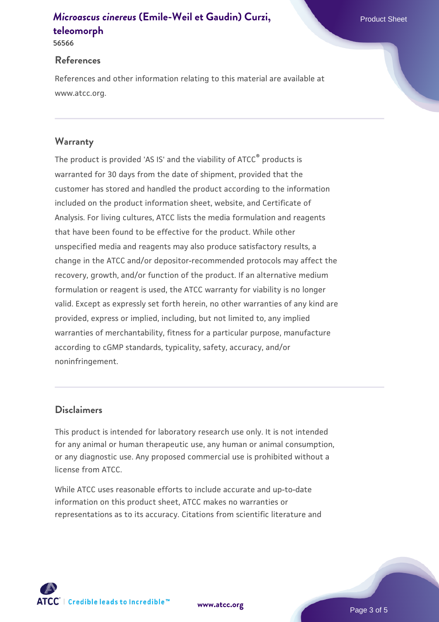### *[Microascus cinereus](https://www.atcc.org/products/56566)* **[\(Emile-Weil et Gaudin\) Curzi,](https://www.atcc.org/products/56566) Product Sheet [teleomorph](https://www.atcc.org/products/56566)**

**56566**

#### **References**

References and other information relating to this material are available at www.atcc.org.

### **Warranty**

The product is provided 'AS IS' and the viability of ATCC® products is warranted for 30 days from the date of shipment, provided that the customer has stored and handled the product according to the information included on the product information sheet, website, and Certificate of Analysis. For living cultures, ATCC lists the media formulation and reagents that have been found to be effective for the product. While other unspecified media and reagents may also produce satisfactory results, a change in the ATCC and/or depositor-recommended protocols may affect the recovery, growth, and/or function of the product. If an alternative medium formulation or reagent is used, the ATCC warranty for viability is no longer valid. Except as expressly set forth herein, no other warranties of any kind are provided, express or implied, including, but not limited to, any implied warranties of merchantability, fitness for a particular purpose, manufacture according to cGMP standards, typicality, safety, accuracy, and/or noninfringement.

### **Disclaimers**

This product is intended for laboratory research use only. It is not intended for any animal or human therapeutic use, any human or animal consumption, or any diagnostic use. Any proposed commercial use is prohibited without a license from ATCC.

While ATCC uses reasonable efforts to include accurate and up-to-date information on this product sheet, ATCC makes no warranties or representations as to its accuracy. Citations from scientific literature and

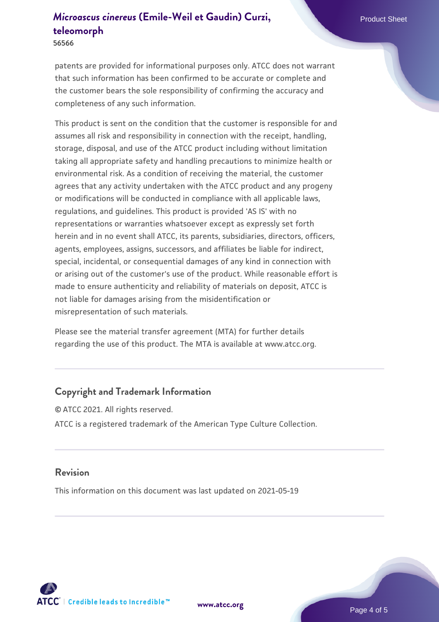### *[Microascus cinereus](https://www.atcc.org/products/56566)* **[\(Emile-Weil et Gaudin\) Curzi,](https://www.atcc.org/products/56566) Product Sheet [teleomorph](https://www.atcc.org/products/56566)**

**56566**

patents are provided for informational purposes only. ATCC does not warrant that such information has been confirmed to be accurate or complete and the customer bears the sole responsibility of confirming the accuracy and completeness of any such information.

This product is sent on the condition that the customer is responsible for and assumes all risk and responsibility in connection with the receipt, handling, storage, disposal, and use of the ATCC product including without limitation taking all appropriate safety and handling precautions to minimize health or environmental risk. As a condition of receiving the material, the customer agrees that any activity undertaken with the ATCC product and any progeny or modifications will be conducted in compliance with all applicable laws, regulations, and guidelines. This product is provided 'AS IS' with no representations or warranties whatsoever except as expressly set forth herein and in no event shall ATCC, its parents, subsidiaries, directors, officers, agents, employees, assigns, successors, and affiliates be liable for indirect, special, incidental, or consequential damages of any kind in connection with or arising out of the customer's use of the product. While reasonable effort is made to ensure authenticity and reliability of materials on deposit, ATCC is not liable for damages arising from the misidentification or misrepresentation of such materials.

Please see the material transfer agreement (MTA) for further details regarding the use of this product. The MTA is available at www.atcc.org.

#### **Copyright and Trademark Information**

© ATCC 2021. All rights reserved. ATCC is a registered trademark of the American Type Culture Collection.

#### **Revision**

This information on this document was last updated on 2021-05-19



**[www.atcc.org](http://www.atcc.org)**